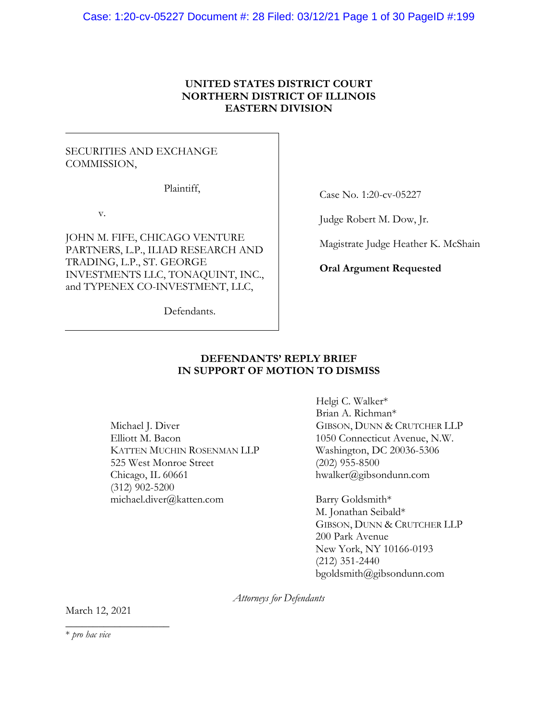## **UNITED STATES DISTRICT COURT NORTHERN DISTRICT OF ILLINOIS EASTERN DIVISION**

## SECURITIES AND EXCHANGE COMMISSION,

Plaintiff,

v.

JOHN M. FIFE, CHICAGO VENTURE PARTNERS, L.P., ILIAD RESEARCH AND TRADING, L.P., ST. GEORGE INVESTMENTS LLC, TONAQUINT, INC., and TYPENEX CO-INVESTMENT, LLC,

Case No. 1:20-cv-05227

Judge Robert M. Dow, Jr.

Magistrate Judge Heather K. McShain

**Oral Argument Requested** 

Defendants.

## **DEFENDANTS' REPLY BRIEF IN SUPPORT OF MOTION TO DISMISS**

Michael J. Diver Elliott M. Bacon KATTEN MUCHIN ROSENMAN LLP 525 West Monroe Street Chicago, IL 60661 (312) 902-5200 michael.diver@katten.com

Helgi C. Walker\* Brian A. Richman\* GIBSON, DUNN & CRUTCHER LLP 1050 Connecticut Avenue, N.W. Washington, DC 20036-5306 (202) 955-8500 hwalker@gibsondunn.com

Barry Goldsmith\* M. Jonathan Seibald\* GIBSON, DUNN & CRUTCHER LLP 200 Park Avenue New York, NY 10166-0193 (212) 351-2440 bgoldsmith@gibsondunn.com

*Attorneys for Defendants* 

March 12, 2021 \_\_\_\_\_\_\_\_\_\_\_\_\_\_\_\_\_\_\_

\* *pro hac vice*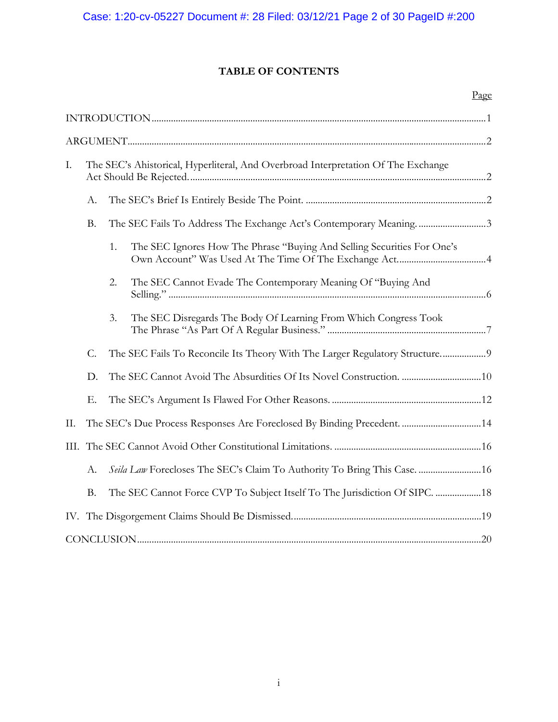## **TABLE OF CONTENTS**

|      |                                                                                   |    |                                                                              | Page |
|------|-----------------------------------------------------------------------------------|----|------------------------------------------------------------------------------|------|
|      |                                                                                   |    |                                                                              |      |
|      |                                                                                   |    |                                                                              |      |
| Ι.   | The SEC's Ahistorical, Hyperliteral, And Overbroad Interpretation Of The Exchange |    |                                                                              |      |
|      | А.                                                                                |    |                                                                              |      |
|      | <b>B.</b>                                                                         |    | The SEC Fails To Address The Exchange Act's Contemporary Meaning3            |      |
|      |                                                                                   | 1. | The SEC Ignores How The Phrase "Buying And Selling Securities For One's      |      |
|      |                                                                                   | 2. | The SEC Cannot Evade The Contemporary Meaning Of "Buying And                 |      |
|      |                                                                                   | 3. | The SEC Disregards The Body Of Learning From Which Congress Took             |      |
|      | $C$ .                                                                             |    | The SEC Fails To Reconcile Its Theory With The Larger Regulatory Structure 9 |      |
|      | D.                                                                                |    |                                                                              |      |
|      | Ε.                                                                                |    |                                                                              |      |
| II.  |                                                                                   |    |                                                                              |      |
| III. |                                                                                   |    |                                                                              |      |
|      | А.                                                                                |    | Seila Law Forecloses The SEC's Claim To Authority To Bring This Case.  16    |      |
|      | <b>B.</b>                                                                         |    | The SEC Cannot Force CVP To Subject Itself To The Jurisdiction Of SIPC.  18  |      |
|      |                                                                                   |    |                                                                              |      |
|      |                                                                                   |    |                                                                              |      |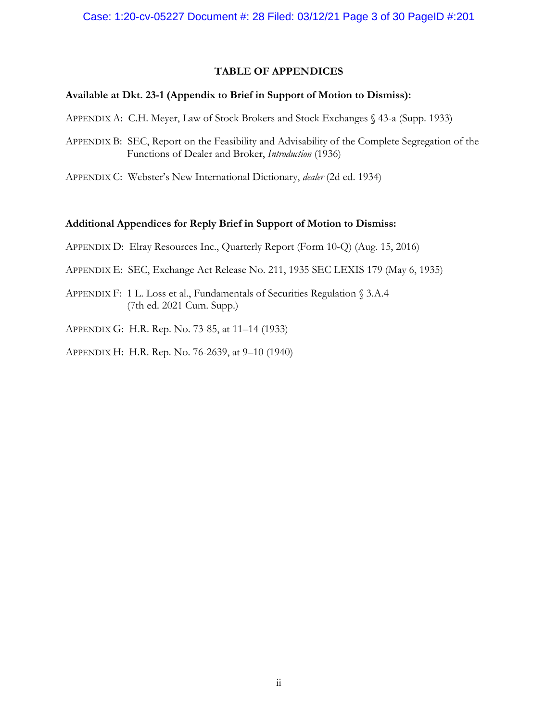## **TABLE OF APPENDICES**

## **Available at Dkt. 23-1 (Appendix to Brief in Support of Motion to Dismiss):**

- APPENDIX A: C.H. Meyer, Law of Stock Brokers and Stock Exchanges § 43-a (Supp. 1933)
- APPENDIX B: SEC, Report on the Feasibility and Advisability of the Complete Segregation of the Functions of Dealer and Broker, *Introduction* (1936)
- APPENDIX C: Webster's New International Dictionary, *dealer* (2d ed. 1934)

#### **Additional Appendices for Reply Brief in Support of Motion to Dismiss:**

- APPENDIX D: Elray Resources Inc., Quarterly Report (Form 10-Q) (Aug. 15, 2016)
- APPENDIX E: SEC, Exchange Act Release No. 211, 1935 SEC LEXIS 179 (May 6, 1935)
- APPENDIX F: 1 L. Loss et al., Fundamentals of Securities Regulation § 3.A.4 (7th ed. 2021 Cum. Supp.)
- APPENDIX G: H.R. Rep. No. 73-85, at 11–14 (1933)
- APPENDIX H: H.R. Rep. No. 76-2639, at 9–10 (1940)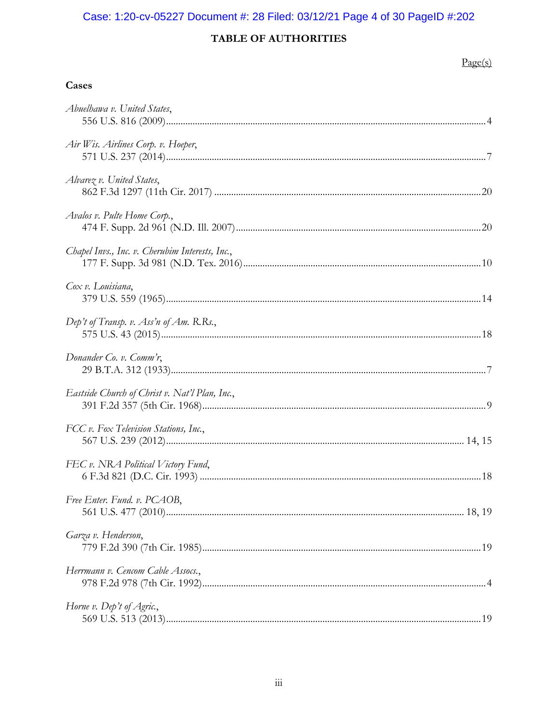# Case: 1:20-cv-05227 Document #: 28 Filed: 03/12/21 Page 4 of 30 PageID #:202

# TABLE OF AUTHORITIES

## $Page(s)$

| Cases                                           |
|-------------------------------------------------|
| Abuelhawa v. United States,                     |
| Air Wis. Airlines Corp. v. Hoeper,              |
| Alvarez v. United States,                       |
| Avalos v. Pulte Home Corp.,                     |
| Chapel Invs., Inc. v. Cherubim Interests, Inc., |
| Cox v. Louisiana,                               |
| Dep't of Transp. v. Ass'n of Am. R.Rs.,         |
| Donander Co. v. Comm'r,                         |
| Eastside Church of Christ v. Nat'l Plan, Inc.,  |
| FCC v. Fox Television Stations, Inc.,           |
| FEC v. NRA Political Victory Fund,              |
| Free Enter. Fund. v. PCAOB,                     |
| Garza v. Henderson,                             |
| Herrmann v. Cencom Cable Assocs.,               |
| Horne v. Dep't of Agric.,                       |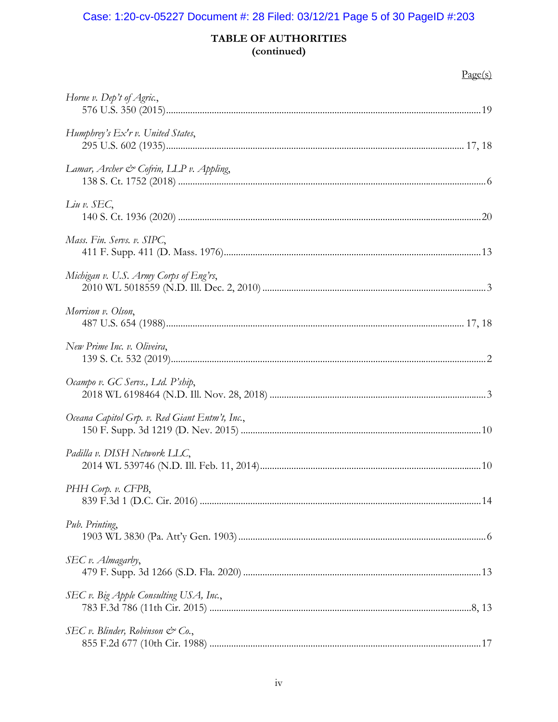# Case: 1:20-cv-05227 Document #: 28 Filed: 03/12/21 Page 5 of 30 PageID #:203

## TABLE OF AUTHORITIES (continued)

## $Page(s)$

| Horne v. Dep't of Agric.,                            |     |
|------------------------------------------------------|-----|
| Humphrey's Ex'r v. United States,                    |     |
| Lamar, Archer & Cofrin, LLP v. Appling,              |     |
| $Liu$ v. $SEC,$                                      |     |
| Mass. Fin. Servs. v. SIPC,                           |     |
| Michigan v. U.S. Army Corps of Eng'rs,               |     |
| Morrison v. Olson,                                   |     |
| New Prime Inc. v. Oliveira,                          |     |
| Ocampo v. GC Servs., Ltd. P'ship,                    |     |
| Oceana Capitol Grp. v. Red Giant Entm't, Inc.,       |     |
| Padilla v. DISH Network LLC,                         |     |
| PHH Corp. v. CFPB,                                   | .14 |
| Pub. Printing,                                       |     |
| SEC v. Almagarby,                                    |     |
| SEC v. Big Apple Consulting USA, Inc.,               |     |
| SEC v. Blinder, Robinson $\mathcal{C}^{\infty}$ Co., |     |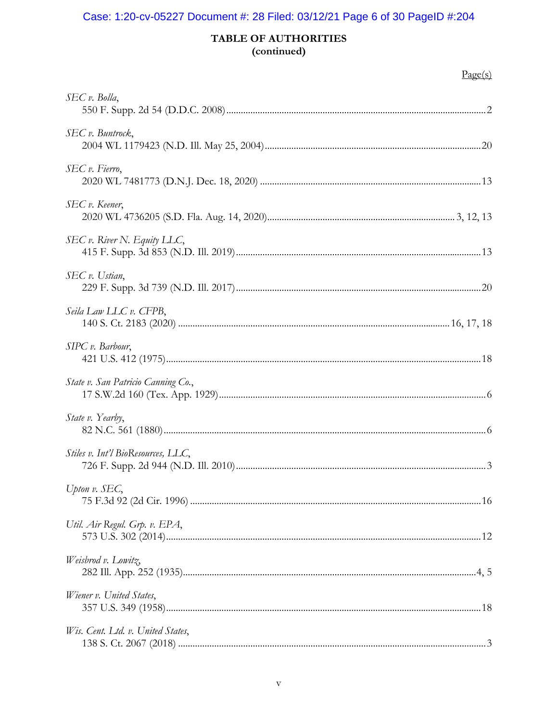# Case: 1:20-cv-05227 Document #: 28 Filed: 03/12/21 Page 6 of 30 PageID #:204

## TABLE OF AUTHORITIES (continued)

| SEC v. Bolla,                      |  |
|------------------------------------|--|
| SEC v. Buntrock,                   |  |
| SEC v. Fierro,                     |  |
| SEC v. Keener,                     |  |
| SEC v. River N. Equity LLC,        |  |
| SEC v. Ustian,                     |  |
| Seila Law LLC v. CFPB,             |  |
| SIPC v. Barbour,                   |  |
| State v. San Patricio Canning Co., |  |
| State v. Yearby,                   |  |
| Stiles v. Int'l BioResources, LLC, |  |
| Upton v. SEC,                      |  |
| Util. Air Regul. Grp. v. EPA,      |  |
| Weisbrod v. Lowitz,                |  |
| Wiener v. United States,           |  |
| Wis. Cent. Ltd. v. United States,  |  |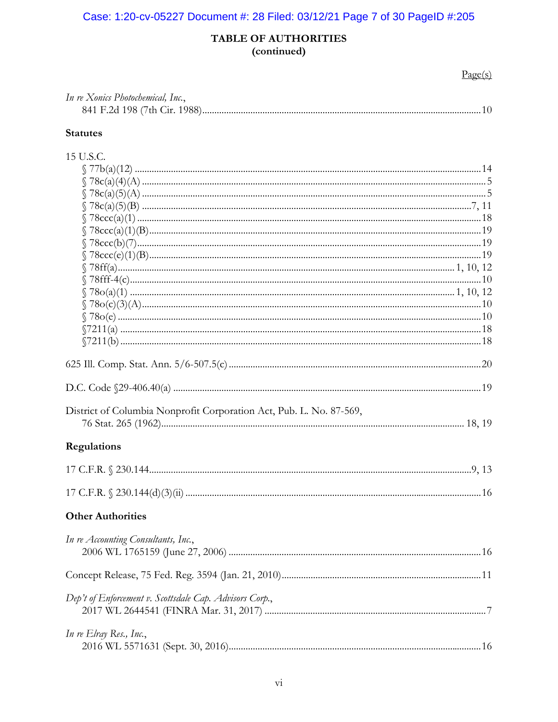# Case: 1:20-cv-05227 Document #: 28 Filed: 03/12/21 Page 7 of 30 PageID #:205

## TABLE OF AUTHORITIES (continued)

 $Page(s)$ 

| In re Xonics Photochemical, Inc., |  |
|-----------------------------------|--|
|                                   |  |

## **Statutes**

| 15 U.S.C.                                                           |  |
|---------------------------------------------------------------------|--|
|                                                                     |  |
|                                                                     |  |
|                                                                     |  |
|                                                                     |  |
|                                                                     |  |
|                                                                     |  |
|                                                                     |  |
|                                                                     |  |
|                                                                     |  |
|                                                                     |  |
|                                                                     |  |
|                                                                     |  |
|                                                                     |  |
|                                                                     |  |
|                                                                     |  |
|                                                                     |  |
|                                                                     |  |
|                                                                     |  |
| District of Columbia Nonprofit Corporation Act, Pub. L. No. 87-569, |  |
|                                                                     |  |
| <b>Regulations</b>                                                  |  |
|                                                                     |  |
|                                                                     |  |
| <b>Other Authorities</b>                                            |  |
| In re Accounting Consultants, Inc.,                                 |  |
|                                                                     |  |
|                                                                     |  |
| Dep't of Enforcement v. Scottsdale Cap. Advisors Corp.,             |  |
|                                                                     |  |
| In re Elray Res., Inc.,                                             |  |
|                                                                     |  |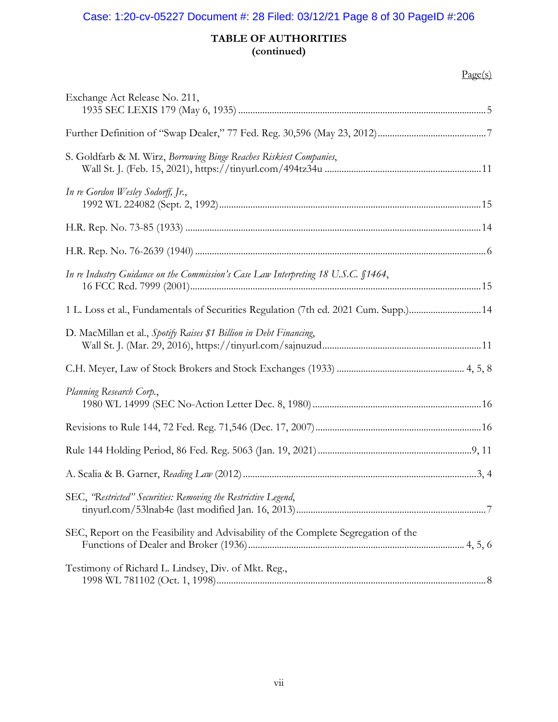# Case: 1:20-cv-05227 Document #: 28 Filed: 03/12/21 Page 8 of 30 PageID #:206

## **TABLE OF AUTHORITIES (continued)**

## $Page(s)$

| Exchange Act Release No. 211,                                                      |  |
|------------------------------------------------------------------------------------|--|
|                                                                                    |  |
| S. Goldfarb & M. Wirz, Borrowing Binge Reaches Riskiest Companies,                 |  |
| In re Gordon Wesley Sodorff, Jr.,                                                  |  |
|                                                                                    |  |
|                                                                                    |  |
| In re Industry Guidance on the Commission's Case Law Interpreting 18 U.S.C. §1464, |  |
| 14. Loss et al., Fundamentals of Securities Regulation (7th ed. 2021 Cum. Supp.)14 |  |
| D. MacMillan et al., Spotify Raises \$1 Billion in Debt Financing,                 |  |
|                                                                                    |  |
| Planning Research Corp.,                                                           |  |
|                                                                                    |  |
|                                                                                    |  |
|                                                                                    |  |
| SEC, "Restricted" Securities: Removing the Restrictive Legend,                     |  |
| SEC, Report on the Feasibility and Advisability of the Complete Segregation of the |  |
| Testimony of Richard L. Lindsey, Div. of Mkt. Reg.,                                |  |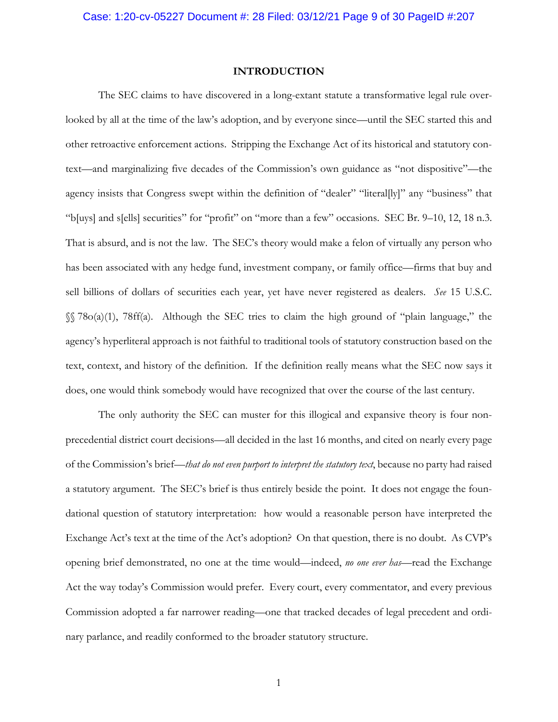#### **INTRODUCTION**

The SEC claims to have discovered in a long-extant statute a transformative legal rule overlooked by all at the time of the law's adoption, and by everyone since—until the SEC started this and other retroactive enforcement actions. Stripping the Exchange Act of its historical and statutory context—and marginalizing five decades of the Commission's own guidance as "not dispositive"—the agency insists that Congress swept within the definition of "dealer" "literal[ly]" any "business" that "b[uys] and s[ells] securities" for "profit" on "more than a few" occasions. SEC Br. 9–10, 12, 18 n.3. That is absurd, and is not the law. The SEC's theory would make a felon of virtually any person who has been associated with any hedge fund, investment company, or family office—firms that buy and sell billions of dollars of securities each year, yet have never registered as dealers. *See* 15 U.S.C. §§ 78o(a)(1), 78ff(a). Although the SEC tries to claim the high ground of "plain language," the agency's hyperliteral approach is not faithful to traditional tools of statutory construction based on the text, context, and history of the definition. If the definition really means what the SEC now says it does, one would think somebody would have recognized that over the course of the last century.

The only authority the SEC can muster for this illogical and expansive theory is four nonprecedential district court decisions—all decided in the last 16 months, and cited on nearly every page of the Commission's brief—*that do not even purport to interpret the statutory text*, because no party had raised a statutory argument. The SEC's brief is thus entirely beside the point. It does not engage the foundational question of statutory interpretation: how would a reasonable person have interpreted the Exchange Act's text at the time of the Act's adoption? On that question, there is no doubt. As CVP's opening brief demonstrated, no one at the time would—indeed, *no one ever has*—read the Exchange Act the way today's Commission would prefer. Every court, every commentator, and every previous Commission adopted a far narrower reading—one that tracked decades of legal precedent and ordinary parlance, and readily conformed to the broader statutory structure.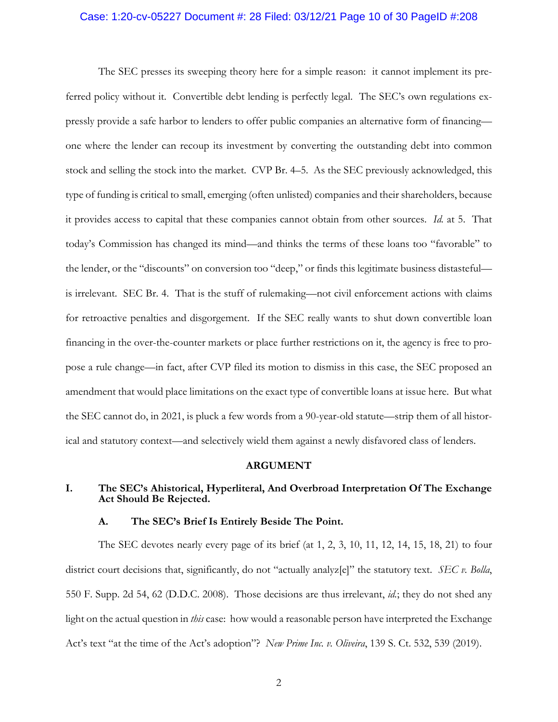## Case: 1:20-cv-05227 Document #: 28 Filed: 03/12/21 Page 10 of 30 PageID #:208

The SEC presses its sweeping theory here for a simple reason: it cannot implement its preferred policy without it. Convertible debt lending is perfectly legal. The SEC's own regulations expressly provide a safe harbor to lenders to offer public companies an alternative form of financing one where the lender can recoup its investment by converting the outstanding debt into common stock and selling the stock into the market. CVP Br. 4–5. As the SEC previously acknowledged, this type of funding is critical to small, emerging (often unlisted) companies and their shareholders, because it provides access to capital that these companies cannot obtain from other sources. *Id.* at 5. That today's Commission has changed its mind—and thinks the terms of these loans too "favorable" to the lender, or the "discounts" on conversion too "deep," or finds this legitimate business distasteful is irrelevant. SEC Br. 4. That is the stuff of rulemaking—not civil enforcement actions with claims for retroactive penalties and disgorgement. If the SEC really wants to shut down convertible loan financing in the over-the-counter markets or place further restrictions on it, the agency is free to propose a rule change—in fact, after CVP filed its motion to dismiss in this case, the SEC proposed an amendment that would place limitations on the exact type of convertible loans at issue here. But what the SEC cannot do, in 2021, is pluck a few words from a 90-year-old statute—strip them of all historical and statutory context—and selectively wield them against a newly disfavored class of lenders.

#### **ARGUMENT**

## **I. The SEC's Ahistorical, Hyperliteral, And Overbroad Interpretation Of The Exchange Act Should Be Rejected.**

#### **A. The SEC's Brief Is Entirely Beside The Point.**

The SEC devotes nearly every page of its brief (at 1, 2, 3, 10, 11, 12, 14, 15, 18, 21) to four district court decisions that, significantly, do not "actually analyz[e]" the statutory text. *SEC v. Bolla*, 550 F. Supp. 2d 54, 62 (D.D.C. 2008). Those decisions are thus irrelevant, *id.*; they do not shed any light on the actual question in *this* case: how would a reasonable person have interpreted the Exchange Act's text "at the time of the Act's adoption"? *New Prime Inc. v. Oliveira*, 139 S. Ct. 532, 539 (2019).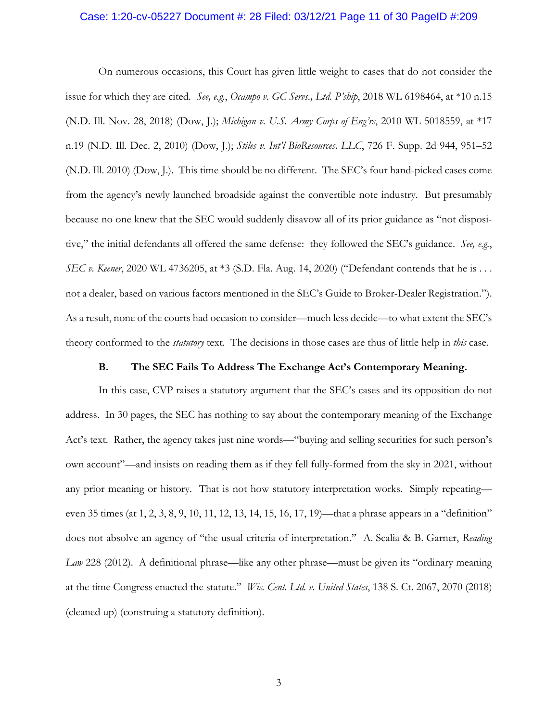## Case: 1:20-cv-05227 Document #: 28 Filed: 03/12/21 Page 11 of 30 PageID #:209

On numerous occasions, this Court has given little weight to cases that do not consider the issue for which they are cited*. See, e.g.*, *Ocampo v. GC Servs., Ltd. P'ship*, 2018 WL 6198464, at \*10 n.15 (N.D. Ill. Nov. 28, 2018) (Dow, J.); *Michigan v. U.S. Army Corps of Eng'rs*, 2010 WL 5018559, at \*17 n.19 (N.D. Ill. Dec. 2, 2010) (Dow, J.); *Stiles v. Int'l BioResources, LLC*, 726 F. Supp. 2d 944, 951–52 (N.D. Ill. 2010) (Dow, J.). This time should be no different. The SEC's four hand-picked cases come from the agency's newly launched broadside against the convertible note industry. But presumably because no one knew that the SEC would suddenly disavow all of its prior guidance as "not dispositive," the initial defendants all offered the same defense: they followed the SEC's guidance. *See, e.g.*, *SEC v. Keener*, 2020 WL 4736205, at \*3 (S.D. Fla. Aug. 14, 2020) ("Defendant contends that he is . . . not a dealer, based on various factors mentioned in the SEC's Guide to Broker-Dealer Registration."). As a result, none of the courts had occasion to consider—much less decide—to what extent the SEC's theory conformed to the *statutory* text. The decisions in those cases are thus of little help in *this* case.

### **B. The SEC Fails To Address The Exchange Act's Contemporary Meaning.**

In this case, CVP raises a statutory argument that the SEC's cases and its opposition do not address. In 30 pages, the SEC has nothing to say about the contemporary meaning of the Exchange Act's text. Rather, the agency takes just nine words—"buying and selling securities for such person's own account"—and insists on reading them as if they fell fully-formed from the sky in 2021, without any prior meaning or history. That is not how statutory interpretation works. Simply repeating even 35 times (at 1, 2, 3, 8, 9, 10, 11, 12, 13, 14, 15, 16, 17, 19)—that a phrase appears in a "definition" does not absolve an agency of "the usual criteria of interpretation." A. Scalia & B. Garner, *Reading Law* 228 (2012). A definitional phrase—like any other phrase—must be given its "ordinary meaning at the time Congress enacted the statute." *Wis. Cent. Ltd. v. United States*, 138 S. Ct. 2067, 2070 (2018) (cleaned up) (construing a statutory definition).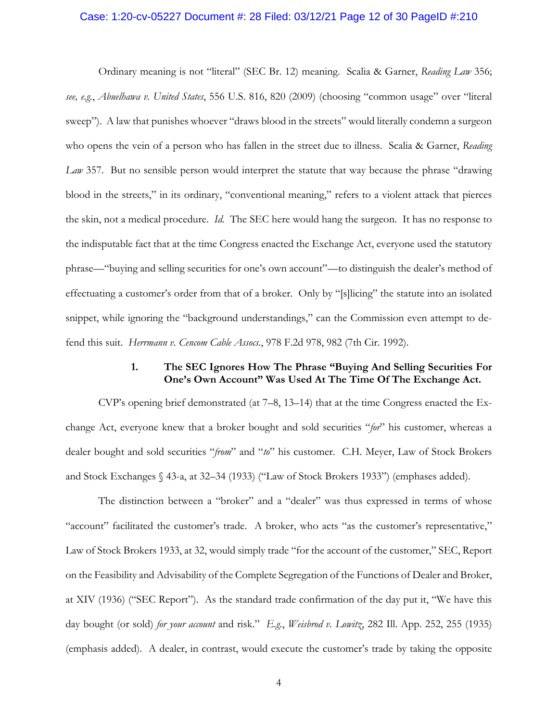## Case: 1:20-cv-05227 Document #: 28 Filed: 03/12/21 Page 12 of 30 PageID #:210

Ordinary meaning is not "literal" (SEC Br. 12) meaning. Scalia & Garner, *Reading Law* 356; *see, e.g.*, *Abuelhawa v. United States*, 556 U.S. 816, 820 (2009) (choosing "common usage" over "literal sweep"). A law that punishes whoever "draws blood in the streets" would literally condemn a surgeon who opens the vein of a person who has fallen in the street due to illness. Scalia & Garner, *Reading Law* 357. But no sensible person would interpret the statute that way because the phrase "drawing blood in the streets," in its ordinary, "conventional meaning," refers to a violent attack that pierces the skin, not a medical procedure. *Id.* The SEC here would hang the surgeon. It has no response to the indisputable fact that at the time Congress enacted the Exchange Act, everyone used the statutory phrase—"buying and selling securities for one's own account"—to distinguish the dealer's method of effectuating a customer's order from that of a broker. Only by "[s]licing" the statute into an isolated snippet, while ignoring the "background understandings," can the Commission even attempt to defend this suit. *Herrmann v. Cencom Cable Assocs.*, 978 F.2d 978, 982 (7th Cir. 1992).

## **1. The SEC Ignores How The Phrase "Buying And Selling Securities For One's Own Account" Was Used At The Time Of The Exchange Act.**

CVP's opening brief demonstrated (at  $7-8$ , 13-14) that at the time Congress enacted the Exchange Act, everyone knew that a broker bought and sold securities "*for*" his customer, whereas a dealer bought and sold securities "*from*" and "*to*" his customer. C.H. Meyer, Law of Stock Brokers and Stock Exchanges § 43-a, at 32–34 (1933) ("Law of Stock Brokers 1933") (emphases added).

The distinction between a "broker" and a "dealer" was thus expressed in terms of whose "account" facilitated the customer's trade. A broker, who acts "as the customer's representative," Law of Stock Brokers 1933, at 32, would simply trade "for the account of the customer," SEC, Report on the Feasibility and Advisability of the Complete Segregation of the Functions of Dealer and Broker, at XIV (1936) ("SEC Report"). As the standard trade confirmation of the day put it, "We have this day bought (or sold) *for your account* and risk." *E.g.*, *Weisbrod v. Lowitz*, 282 Ill. App. 252, 255 (1935) (emphasis added). A dealer, in contrast, would execute the customer's trade by taking the opposite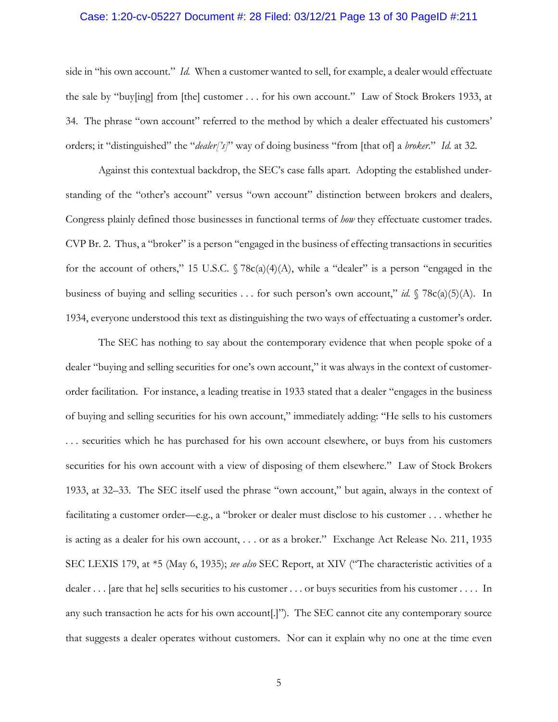## Case: 1:20-cv-05227 Document #: 28 Filed: 03/12/21 Page 13 of 30 PageID #:211

side in "his own account." *Id.* When a customer wanted to sell, for example, a dealer would effectuate the sale by "buy[ing] from [the] customer . . . for his own account." Law of Stock Brokers 1933, at 34. The phrase "own account" referred to the method by which a dealer effectuated his customers' orders; it "distinguished" the "*dealer['s]*" way of doing business "from [that of] a *broker*." *Id.* at 32.

Against this contextual backdrop, the SEC's case falls apart. Adopting the established understanding of the "other's account" versus "own account" distinction between brokers and dealers, Congress plainly defined those businesses in functional terms of *how* they effectuate customer trades. CVP Br. 2. Thus, a "broker" is a person "engaged in the business of effecting transactions in securities for the account of others," 15 U.S.C.  $\sqrt{78c(a)(4)(A)}$ , while a "dealer" is a person "engaged in the business of buying and selling securities . . . for such person's own account," *id.* § 78c(a)(5)(A). In 1934, everyone understood this text as distinguishing the two ways of effectuating a customer's order.

The SEC has nothing to say about the contemporary evidence that when people spoke of a dealer "buying and selling securities for one's own account," it was always in the context of customerorder facilitation. For instance, a leading treatise in 1933 stated that a dealer "engages in the business of buying and selling securities for his own account," immediately adding: "He sells to his customers . . . securities which he has purchased for his own account elsewhere, or buys from his customers securities for his own account with a view of disposing of them elsewhere." Law of Stock Brokers 1933, at 32–33. The SEC itself used the phrase "own account," but again, always in the context of facilitating a customer order—e.g., a "broker or dealer must disclose to his customer . . . whether he is acting as a dealer for his own account, . . . or as a broker." Exchange Act Release No. 211, 1935 SEC LEXIS 179, at \*5 (May 6, 1935); *see also* SEC Report, at XIV ("The characteristic activities of a dealer . . . [are that he] sells securities to his customer . . . or buys securities from his customer . . . . In any such transaction he acts for his own account[.]"). The SEC cannot cite any contemporary source that suggests a dealer operates without customers. Nor can it explain why no one at the time even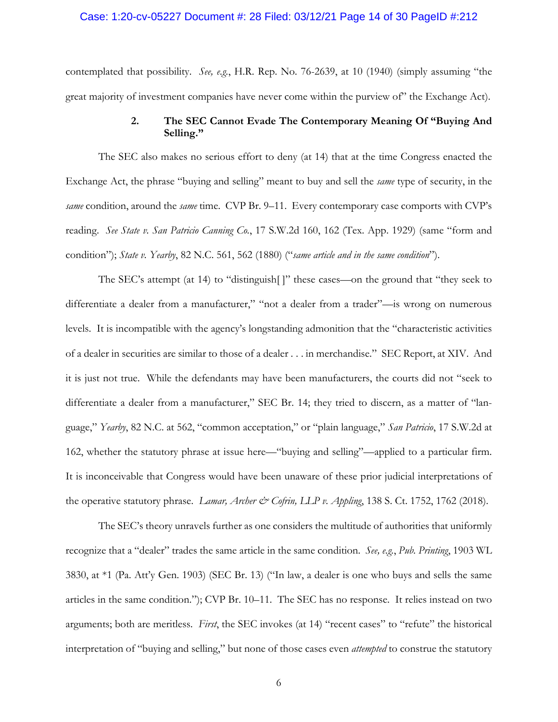### Case: 1:20-cv-05227 Document #: 28 Filed: 03/12/21 Page 14 of 30 PageID #:212

contemplated that possibility. *See, e.g.*, H.R. Rep. No. 76-2639, at 10 (1940) (simply assuming "the great majority of investment companies have never come within the purview of" the Exchange Act).

## **2. The SEC Cannot Evade The Contemporary Meaning Of "Buying And Selling."**

The SEC also makes no serious effort to deny (at 14) that at the time Congress enacted the Exchange Act, the phrase "buying and selling" meant to buy and sell the *same* type of security, in the *same* condition, around the *same* time. CVP Br. 9–11. Every contemporary case comports with CVP's reading. *See State v. San Patricio Canning Co.*, 17 S.W.2d 160, 162 (Tex. App. 1929) (same "form and condition"); *State v. Yearby*, 82 N.C. 561, 562 (1880) ("*same article and in the same condition*").

The SEC's attempt (at 14) to "distinguish[ ]" these cases—on the ground that "they seek to differentiate a dealer from a manufacturer," "not a dealer from a trader"—is wrong on numerous levels. It is incompatible with the agency's longstanding admonition that the "characteristic activities of a dealer in securities are similar to those of a dealer . . . in merchandise." SEC Report, at XIV. And it is just not true. While the defendants may have been manufacturers, the courts did not "seek to differentiate a dealer from a manufacturer," SEC Br. 14; they tried to discern, as a matter of "language," *Yearby*, 82 N.C. at 562, "common acceptation," or "plain language," *San Patricio*, 17 S.W.2d at 162, whether the statutory phrase at issue here—"buying and selling"—applied to a particular firm. It is inconceivable that Congress would have been unaware of these prior judicial interpretations of the operative statutory phrase. *Lamar, Archer & Cofrin, LLP v. Appling*, 138 S. Ct. 1752, 1762 (2018).

The SEC's theory unravels further as one considers the multitude of authorities that uniformly recognize that a "dealer" trades the same article in the same condition. *See, e.g.*, *Pub. Printing*, 1903 WL 3830, at \*1 (Pa. Att'y Gen. 1903) (SEC Br. 13) ("In law, a dealer is one who buys and sells the same articles in the same condition."); CVP Br. 10–11. The SEC has no response. It relies instead on two arguments; both are meritless. *First*, the SEC invokes (at 14) "recent cases" to "refute" the historical interpretation of "buying and selling," but none of those cases even *attempted* to construe the statutory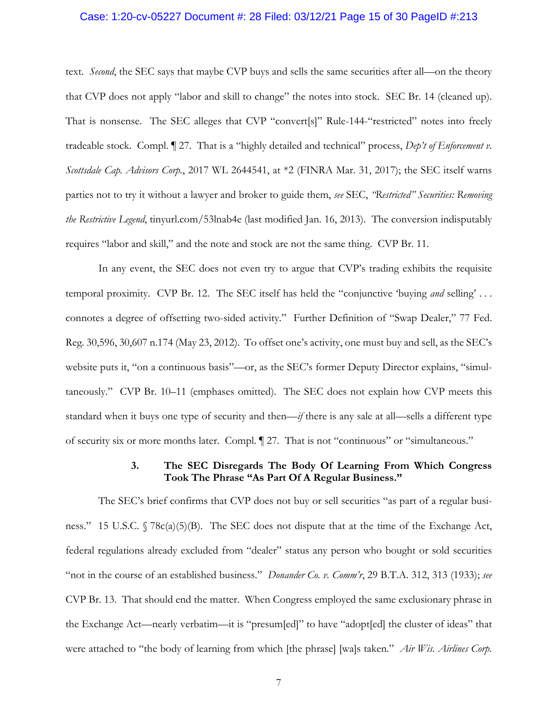## Case: 1:20-cv-05227 Document #: 28 Filed: 03/12/21 Page 15 of 30 PageID #:213

text. *Second*, the SEC says that maybe CVP buys and sells the same securities after all—on the theory that CVP does not apply "labor and skill to change" the notes into stock. SEC Br. 14 (cleaned up). That is nonsense. The SEC alleges that CVP "convert[s]" Rule-144-"restricted" notes into freely tradeable stock. Compl. ¶ 27. That is a "highly detailed and technical" process, *Dep't of Enforcement v. Scottsdale Cap. Advisors Corp.*, 2017 WL 2644541, at \*2 (FINRA Mar. 31, 2017); the SEC itself warns parties not to try it without a lawyer and broker to guide them, *see* SEC, *"Restricted" Securities: Removing the Restrictive Legend*, tinyurl.com/53lnab4e (last modified Jan. 16, 2013). The conversion indisputably requires "labor and skill," and the note and stock are not the same thing. CVP Br. 11.

In any event, the SEC does not even try to argue that CVP's trading exhibits the requisite temporal proximity. CVP Br. 12. The SEC itself has held the "conjunctive 'buying *and* selling' . . . connotes a degree of offsetting two-sided activity." Further Definition of "Swap Dealer," 77 Fed. Reg. 30,596, 30,607 n.174 (May 23, 2012). To offset one's activity, one must buy and sell, as the SEC's website puts it, "on a continuous basis"—or, as the SEC's former Deputy Director explains, "simultaneously." CVP Br. 10–11 (emphases omitted). The SEC does not explain how CVP meets this standard when it buys one type of security and then—*if* there is any sale at all—sells a different type of security six or more months later. Compl. ¶ 27. That is not "continuous" or "simultaneous."

## **3. The SEC Disregards The Body Of Learning From Which Congress Took The Phrase "As Part Of A Regular Business."**

The SEC's brief confirms that CVP does not buy or sell securities "as part of a regular business." 15 U.S.C. § 78c(a)(5)(B). The SEC does not dispute that at the time of the Exchange Act, federal regulations already excluded from "dealer" status any person who bought or sold securities "not in the course of an established business." *Donander Co. v. Comm'r*, 29 B.T.A. 312, 313 (1933); *see* CVP Br. 13. That should end the matter. When Congress employed the same exclusionary phrase in the Exchange Act—nearly verbatim—it is "presum[ed]" to have "adopt[ed] the cluster of ideas" that were attached to "the body of learning from which [the phrase] [wa]s taken." *Air Wis. Airlines Corp.*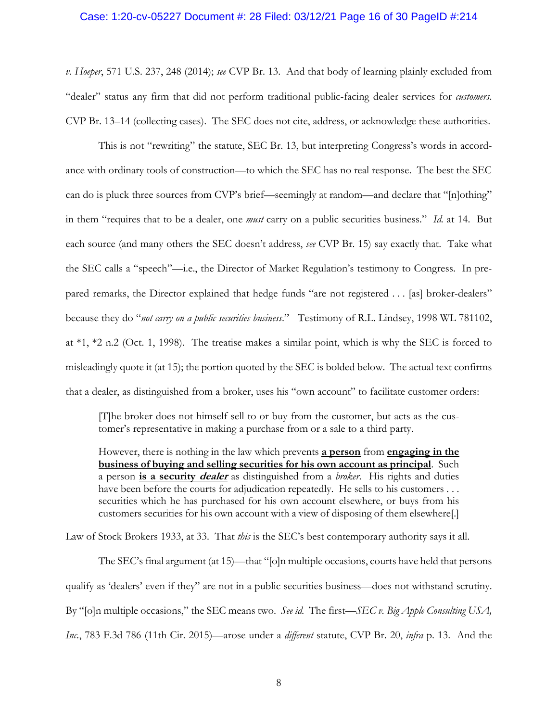## Case: 1:20-cv-05227 Document #: 28 Filed: 03/12/21 Page 16 of 30 PageID #:214

*v. Hoeper*, 571 U.S. 237, 248 (2014); *see* CVP Br. 13. And that body of learning plainly excluded from "dealer" status any firm that did not perform traditional public-facing dealer services for *customers*. CVP Br. 13–14 (collecting cases). The SEC does not cite, address, or acknowledge these authorities.

This is not "rewriting" the statute, SEC Br. 13, but interpreting Congress's words in accordance with ordinary tools of construction—to which the SEC has no real response. The best the SEC can do is pluck three sources from CVP's brief—seemingly at random—and declare that "[n]othing" in them "requires that to be a dealer, one *must* carry on a public securities business." *Id.* at 14. But each source (and many others the SEC doesn't address, *see* CVP Br. 15) say exactly that. Take what the SEC calls a "speech"—i.e., the Director of Market Regulation's testimony to Congress. In prepared remarks, the Director explained that hedge funds "are not registered . . . [as] broker-dealers" because they do "*not carry on a public securities business*."Testimony of R.L. Lindsey, 1998 WL 781102, at \*1, \*2 n.2 (Oct. 1, 1998). The treatise makes a similar point, which is why the SEC is forced to misleadingly quote it (at 15); the portion quoted by the SEC is bolded below. The actual text confirms that a dealer, as distinguished from a broker, uses his "own account" to facilitate customer orders:

[T]he broker does not himself sell to or buy from the customer, but acts as the customer's representative in making a purchase from or a sale to a third party.

However, there is nothing in the law which prevents **a person** from **engaging in the business of buying and selling securities for his own account as principal**. Such a person **is a security dealer** as distinguished from a *broker*. His rights and duties have been before the courts for adjudication repeatedly. He sells to his customers ... securities which he has purchased for his own account elsewhere, or buys from his customers securities for his own account with a view of disposing of them elsewhere[.]

Law of Stock Brokers 1933, at 33. That *this* is the SEC's best contemporary authority says it all.

The SEC's final argument (at 15)—that "[o]n multiple occasions, courts have held that persons qualify as 'dealers' even if they" are not in a public securities business—does not withstand scrutiny. By "[o]n multiple occasions," the SEC means two. *See id.* The first—*SEC v. Big Apple Consulting USA, Inc.*, 783 F.3d 786 (11th Cir. 2015)—arose under a *different* statute, CVP Br. 20, *infra* p. 13. And the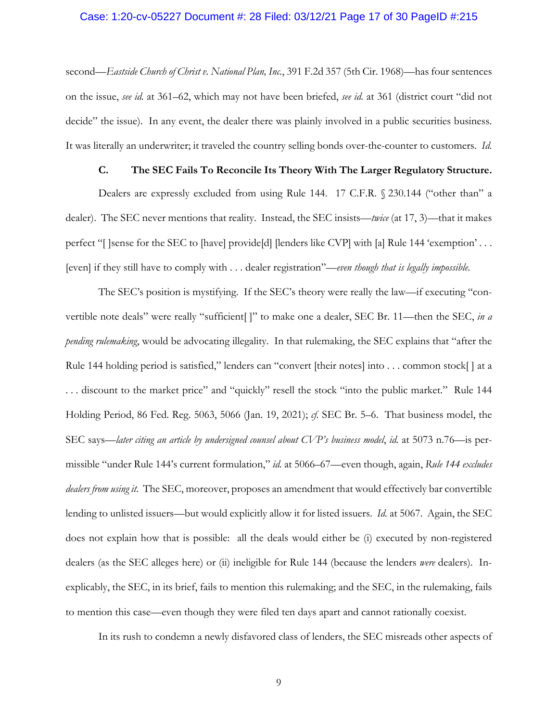## Case: 1:20-cv-05227 Document #: 28 Filed: 03/12/21 Page 17 of 30 PageID #:215

second—*Eastside Church of Christ v. National Plan, Inc.*, 391 F.2d 357 (5th Cir. 1968)—has four sentences on the issue, *see id.* at 361–62, which may not have been briefed, *see id.* at 361 (district court "did not decide" the issue). In any event, the dealer there was plainly involved in a public securities business. It was literally an underwriter; it traveled the country selling bonds over-the-counter to customers. *Id.*

### **C. The SEC Fails To Reconcile Its Theory With The Larger Regulatory Structure.**

Dealers are expressly excluded from using Rule 144. 17 C.F.R. § 230.144 ("other than" a dealer). The SEC never mentions that reality. Instead, the SEC insists—*twice* (at 17, 3)—that it makes perfect "[ ]sense for the SEC to [have] provide[d] [lenders like CVP] with [a] Rule 144 'exemption' . . . [even] if they still have to comply with . . . dealer registration"—*even though that is legally impossible*.

The SEC's position is mystifying. If the SEC's theory were really the law—if executing "convertible note deals" were really "sufficient[ ]" to make one a dealer, SEC Br. 11—then the SEC, *in a pending rulemaking*, would be advocating illegality. In that rulemaking, the SEC explains that "after the Rule 144 holding period is satisfied," lenders can "convert [their notes] into . . . common stock[] at a . . . discount to the market price" and "quickly" resell the stock "into the public market." Rule 144 Holding Period, 86 Fed. Reg. 5063, 5066 (Jan. 19, 2021); *cf.* SEC Br. 5–6. That business model, the SEC says—*later citing an article by undersigned counsel about CVP's business model*, *id.* at 5073 n.76—is permissible "under Rule 144's current formulation," *id.* at 5066–67—even though, again, *Rule 144 excludes dealers from using it*. The SEC, moreover, proposes an amendment that would effectively bar convertible lending to unlisted issuers—but would explicitly allow it for listed issuers. *Id.* at 5067. Again, the SEC does not explain how that is possible: all the deals would either be (i) executed by non-registered dealers (as the SEC alleges here) or (ii) ineligible for Rule 144 (because the lenders *were* dealers). Inexplicably, the SEC, in its brief, fails to mention this rulemaking; and the SEC, in the rulemaking, fails to mention this case—even though they were filed ten days apart and cannot rationally coexist.

In its rush to condemn a newly disfavored class of lenders, the SEC misreads other aspects of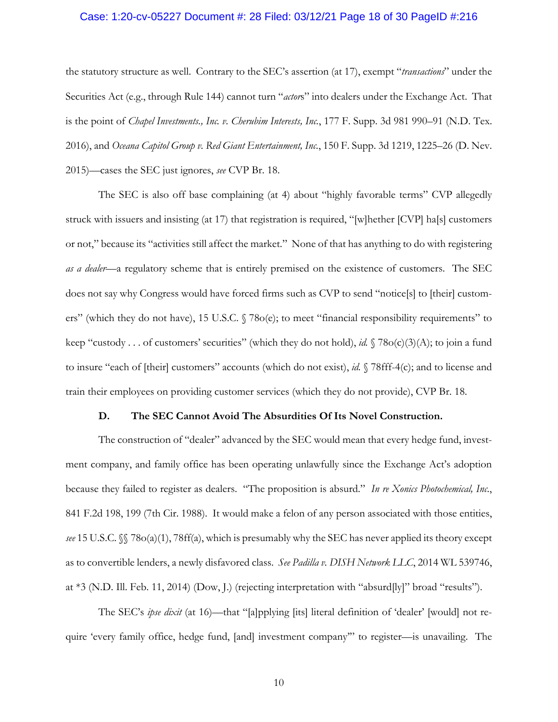## Case: 1:20-cv-05227 Document #: 28 Filed: 03/12/21 Page 18 of 30 PageID #:216

the statutory structure as well. Contrary to the SEC's assertion (at 17), exempt "*transactions*" under the Securities Act (e.g., through Rule 144) cannot turn "*actor*s" into dealers under the Exchange Act. That is the point of *Chapel Investments., Inc. v. Cherubim Interests, Inc.*, 177 F. Supp. 3d 981 990–91 (N.D. Tex. 2016), and *Oceana Capitol Group v. Red Giant Entertainment, Inc.*, 150 F. Supp. 3d 1219, 1225–26 (D. Nev. 2015)—cases the SEC just ignores, *see* CVP Br. 18.

The SEC is also off base complaining (at 4) about "highly favorable terms" CVP allegedly struck with issuers and insisting (at 17) that registration is required, "[w]hether [CVP] ha[s] customers or not," because its "activities still affect the market." None of that has anything to do with registering *as a dealer*—a regulatory scheme that is entirely premised on the existence of customers. The SEC does not say why Congress would have forced firms such as CVP to send "notice[s] to [their] customers" (which they do not have), 15 U.S.C. § 78o(e); to meet "financial responsibility requirements" to keep "custody . . . of customers' securities" (which they do not hold), *id.* § 78o(c)(3)(A); to join a fund to insure "each of [their] customers" accounts (which do not exist), *id.* § 78fff-4(c); and to license and train their employees on providing customer services (which they do not provide), CVP Br. 18.

## **D. The SEC Cannot Avoid The Absurdities Of Its Novel Construction.**

The construction of "dealer" advanced by the SEC would mean that every hedge fund, investment company, and family office has been operating unlawfully since the Exchange Act's adoption because they failed to register as dealers. "The proposition is absurd." *In re Xonics Photochemical, Inc.*, 841 F.2d 198, 199 (7th Cir. 1988). It would make a felon of any person associated with those entities, *see* 15 U.S.C. §§ 78o(a)(1), 78ff(a), which is presumably why the SEC has never applied its theory except as to convertible lenders, a newly disfavored class. *See Padilla v. DISH Network LLC*, 2014 WL 539746, at \*3 (N.D. Ill. Feb. 11, 2014) (Dow, J.) (rejecting interpretation with "absurd[ly]" broad "results").

The SEC's *ipse dixit* (at 16)—that "[a]pplying [its] literal definition of 'dealer' [would] not require 'every family office, hedge fund, [and] investment company'" to register—is unavailing. The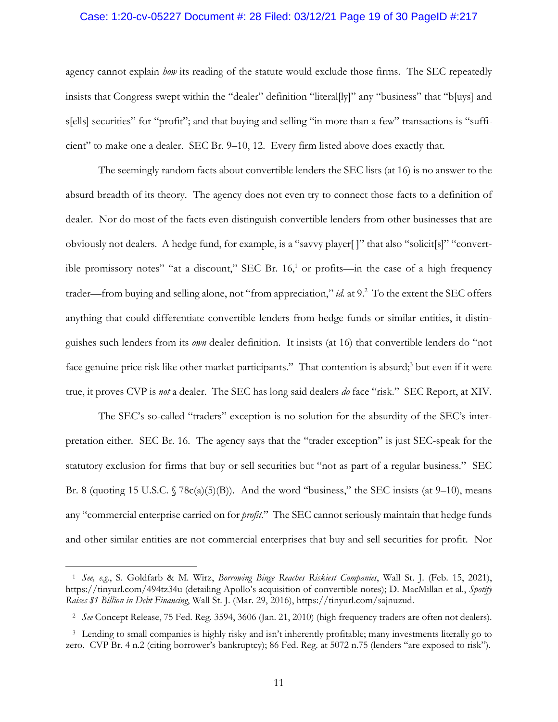## Case: 1:20-cv-05227 Document #: 28 Filed: 03/12/21 Page 19 of 30 PageID #:217

agency cannot explain *how* its reading of the statute would exclude those firms. The SEC repeatedly insists that Congress swept within the "dealer" definition "literal[ly]" any "business" that "b[uys] and s[ells] securities" for "profit"; and that buying and selling "in more than a few" transactions is "sufficient" to make one a dealer. SEC Br. 9–10, 12. Every firm listed above does exactly that.

The seemingly random facts about convertible lenders the SEC lists (at 16) is no answer to the absurd breadth of its theory. The agency does not even try to connect those facts to a definition of dealer. Nor do most of the facts even distinguish convertible lenders from other businesses that are obviously not dealers. A hedge fund, for example, is a "savvy player[ ]" that also "solicit[s]" "convertible promissory notes" "at a discount," SEC Br.  $16<sup>1</sup>$  or profits—in the case of a high frequency trader—from buying and selling alone, not "from appreciation," *id.* at 9.<sup>2</sup> To the extent the SEC offers anything that could differentiate convertible lenders from hedge funds or similar entities, it distinguishes such lenders from its *own* dealer definition. It insists (at 16) that convertible lenders do "not face genuine price risk like other market participants." That contention is absurd;<sup>3</sup> but even if it were true, it proves CVP is *not* a dealer. The SEC has long said dealers *do* face "risk." SEC Report, at XIV.

The SEC's so-called "traders" exception is no solution for the absurdity of the SEC's interpretation either. SEC Br. 16. The agency says that the "trader exception" is just SEC-speak for the statutory exclusion for firms that buy or sell securities but "not as part of a regular business." SEC Br. 8 (quoting 15 U.S.C.  $\sqrt{5}$  78c(a)(5)(B)). And the word "business," the SEC insists (at 9–10), means any "commercial enterprise carried on for *profit*." The SEC cannot seriously maintain that hedge funds and other similar entities are not commercial enterprises that buy and sell securities for profit. Nor

 $\overline{a}$ 

<sup>1</sup> *See, e.g.*, S. Goldfarb & M. Wirz, *Borrowing Binge Reaches Riskiest Companies*, Wall St. J. (Feb. 15, 2021), https://tinyurl.com/494tz34u (detailing Apollo's acquisition of convertible notes); D. MacMillan et al., *Spotify Raises \$1 Billion in Debt Financing*, Wall St. J. (Mar. 29, 2016), https://tinyurl.com/sajnuzud.

<sup>2</sup> *See* Concept Release, 75 Fed. Reg. 3594, 3606 (Jan. 21, 2010) (high frequency traders are often not dealers).

<sup>3</sup> Lending to small companies is highly risky and isn't inherently profitable; many investments literally go to zero. CVP Br. 4 n.2 (citing borrower's bankruptcy); 86 Fed. Reg. at 5072 n.75 (lenders "are exposed to risk").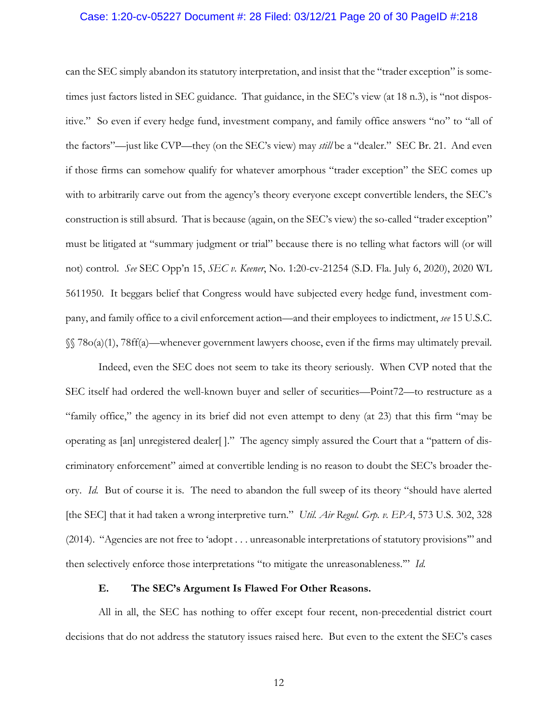## Case: 1:20-cv-05227 Document #: 28 Filed: 03/12/21 Page 20 of 30 PageID #:218

can the SEC simply abandon its statutory interpretation, and insist that the "trader exception" is sometimes just factors listed in SEC guidance. That guidance, in the SEC's view (at 18 n.3), is "not dispositive." So even if every hedge fund, investment company, and family office answers "no" to "all of the factors"—just like CVP—they (on the SEC's view) may *still* be a "dealer." SEC Br. 21. And even if those firms can somehow qualify for whatever amorphous "trader exception" the SEC comes up with to arbitrarily carve out from the agency's theory everyone except convertible lenders, the SEC's construction is still absurd. That is because (again, on the SEC's view) the so-called "trader exception" must be litigated at "summary judgment or trial" because there is no telling what factors will (or will not) control. *See* SEC Opp'n 15, *SEC v. Keener*, No. 1:20-cv-21254 (S.D. Fla. July 6, 2020), 2020 WL 5611950. It beggars belief that Congress would have subjected every hedge fund, investment company, and family office to a civil enforcement action—and their employees to indictment, *see* 15 U.S.C. §§ 78o(a)(1), 78ff(a)—whenever government lawyers choose, even if the firms may ultimately prevail.

Indeed, even the SEC does not seem to take its theory seriously. When CVP noted that the SEC itself had ordered the well-known buyer and seller of securities—Point72—to restructure as a "family office," the agency in its brief did not even attempt to deny (at 23) that this firm "may be operating as [an] unregistered dealer[ ]." The agency simply assured the Court that a "pattern of discriminatory enforcement" aimed at convertible lending is no reason to doubt the SEC's broader theory. *Id.* But of course it is. The need to abandon the full sweep of its theory "should have alerted [the SEC] that it had taken a wrong interpretive turn." *Util. Air Regul. Grp. v. EPA*, 573 U.S. 302, 328 (2014). "Agencies are not free to 'adopt . . . unreasonable interpretations of statutory provisions'" and then selectively enforce those interpretations "to mitigate the unreasonableness.'" *Id.*

#### **E. The SEC's Argument Is Flawed For Other Reasons.**

All in all, the SEC has nothing to offer except four recent, non-precedential district court decisions that do not address the statutory issues raised here. But even to the extent the SEC's cases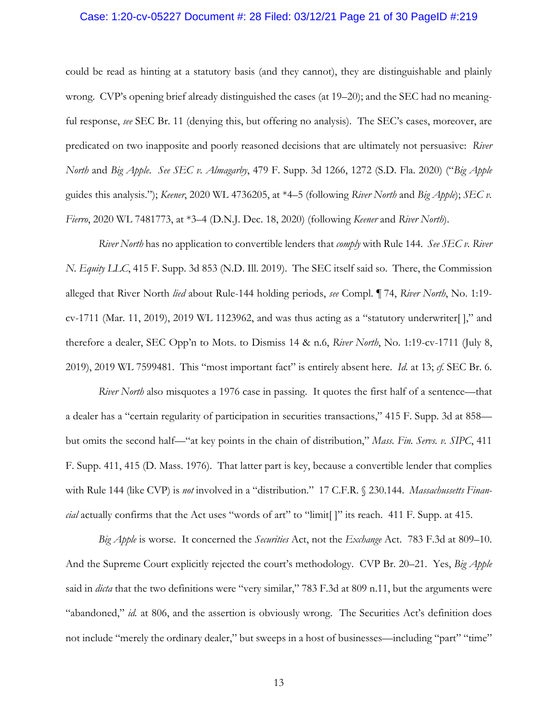## Case: 1:20-cv-05227 Document #: 28 Filed: 03/12/21 Page 21 of 30 PageID #:219

could be read as hinting at a statutory basis (and they cannot), they are distinguishable and plainly wrong. CVP's opening brief already distinguished the cases (at 19–20); and the SEC had no meaningful response, *see* SEC Br. 11 (denying this, but offering no analysis). The SEC's cases, moreover, are predicated on two inapposite and poorly reasoned decisions that are ultimately not persuasive: *River North* and *Big Apple*. *See SEC v. Almagarby*, 479 F. Supp. 3d 1266, 1272 (S.D. Fla. 2020) ("*Big Apple* guides this analysis."); *Keener*, 2020 WL 4736205, at \*4–5 (following *River North* and *Big Apple*); *SEC v. Fierro*, 2020 WL 7481773, at \*3–4 (D.N.J. Dec. 18, 2020) (following *Keener* and *River North*).

*River North* has no application to convertible lenders that *comply* with Rule 144. *See SEC v. River N. Equity LLC*, 415 F. Supp. 3d 853 (N.D. Ill. 2019). The SEC itself said so. There, the Commission alleged that River North *lied* about Rule-144 holding periods, *see* Compl. ¶ 74, *River North*, No. 1:19  $cv-1711$  (Mar. 11, 2019), 2019 WL 1123962, and was thus acting as a "statutory underwriter[]," and therefore a dealer, SEC Opp'n to Mots. to Dismiss 14 & n.6, *River North*, No. 1:19-cv-1711 (July 8, 2019), 2019 WL 7599481. This "most important fact" is entirely absent here. *Id.* at 13; *cf.* SEC Br. 6.

*River North* also misquotes a 1976 case in passing. It quotes the first half of a sentence—that a dealer has a "certain regularity of participation in securities transactions," 415 F. Supp. 3d at 858 but omits the second half—"at key points in the chain of distribution," *Mass. Fin. Servs. v. SIPC*, 411 F. Supp. 411, 415 (D. Mass. 1976). That latter part is key, because a convertible lender that complies with Rule 144 (like CVP) is *not* involved in a "distribution." 17 C.F.R. § 230.144. *Massachussetts Financial* actually confirms that the Act uses "words of art" to "limit[]" its reach. 411 F. Supp. at 415.

*Big Apple* is worse. It concerned the *Securities* Act, not the *Exchange* Act. 783 F.3d at 809–10. And the Supreme Court explicitly rejected the court's methodology. CVP Br. 20–21. Yes, *Big Apple* said in *dicta* that the two definitions were "very similar," 783 F.3d at 809 n.11, but the arguments were "abandoned," *id.* at 806, and the assertion is obviously wrong. The Securities Act's definition does not include "merely the ordinary dealer," but sweeps in a host of businesses—including "part" "time"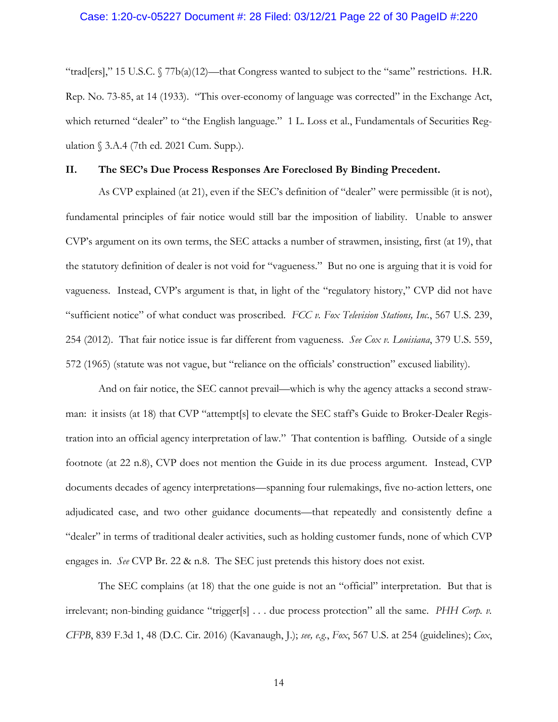## Case: 1:20-cv-05227 Document #: 28 Filed: 03/12/21 Page 22 of 30 PageID #:220

"trad[ers]," 15 U.S.C.  $\sqrt{77b(a)(12)}$ —that Congress wanted to subject to the "same" restrictions. H.R. Rep. No. 73-85, at 14 (1933). "This over-economy of language was corrected" in the Exchange Act, which returned "dealer" to "the English language." 1 L. Loss et al., Fundamentals of Securities Regulation § 3.A.4 (7th ed. 2021 Cum. Supp.).

### **II. The SEC's Due Process Responses Are Foreclosed By Binding Precedent.**

As CVP explained (at 21), even if the SEC's definition of "dealer" were permissible (it is not), fundamental principles of fair notice would still bar the imposition of liability. Unable to answer CVP's argument on its own terms, the SEC attacks a number of strawmen, insisting, first (at 19), that the statutory definition of dealer is not void for "vagueness." But no one is arguing that it is void for vagueness. Instead, CVP's argument is that, in light of the "regulatory history," CVP did not have "sufficient notice" of what conduct was proscribed. *FCC v. Fox Television Stations, Inc.*, 567 U.S. 239, 254 (2012). That fair notice issue is far different from vagueness. *See Cox v. Louisiana*, 379 U.S. 559, 572 (1965) (statute was not vague, but "reliance on the officials' construction" excused liability).

And on fair notice, the SEC cannot prevail—which is why the agency attacks a second strawman: it insists (at 18) that CVP "attempt[s] to elevate the SEC staff's Guide to Broker-Dealer Registration into an official agency interpretation of law." That contention is baffling. Outside of a single footnote (at 22 n.8), CVP does not mention the Guide in its due process argument. Instead, CVP documents decades of agency interpretations—spanning four rulemakings, five no-action letters, one adjudicated case, and two other guidance documents—that repeatedly and consistently define a "dealer" in terms of traditional dealer activities, such as holding customer funds, none of which CVP engages in. *See* CVP Br. 22 & n.8. The SEC just pretends this history does not exist.

The SEC complains (at 18) that the one guide is not an "official" interpretation. But that is irrelevant; non-binding guidance "trigger[s] . . . due process protection" all the same. *PHH Corp. v. CFPB*, 839 F.3d 1, 48 (D.C. Cir. 2016) (Kavanaugh, J.); *see, e.g.*, *Fox*, 567 U.S. at 254 (guidelines); *Cox*,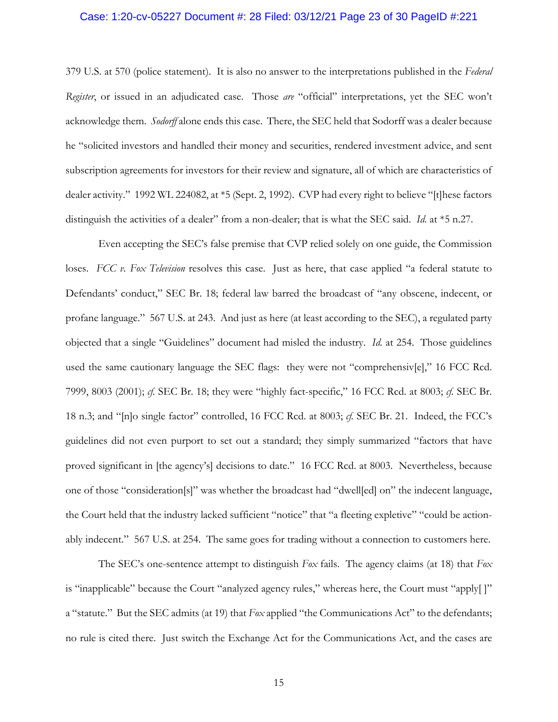## Case: 1:20-cv-05227 Document #: 28 Filed: 03/12/21 Page 23 of 30 PageID #:221

379 U.S. at 570 (police statement). It is also no answer to the interpretations published in the *Federal Register*, or issued in an adjudicated case. Those *are* "official" interpretations, yet the SEC won't acknowledge them. *Sodorff* alone ends this case. There, the SEC held that Sodorff was a dealer because he "solicited investors and handled their money and securities, rendered investment advice, and sent subscription agreements for investors for their review and signature, all of which are characteristics of dealer activity." 1992 WL 224082, at \*5 (Sept. 2, 1992). CVP had every right to believe "[t]hese factors distinguish the activities of a dealer" from a non-dealer; that is what the SEC said. *Id.* at \*5 n.27.

Even accepting the SEC's false premise that CVP relied solely on one guide, the Commission loses. *FCC v. Fox Television* resolves this case. Just as here, that case applied "a federal statute to Defendants' conduct," SEC Br. 18; federal law barred the broadcast of "any obscene, indecent, or profane language." 567 U.S. at 243. And just as here (at least according to the SEC), a regulated party objected that a single "Guidelines" document had misled the industry. *Id.* at 254. Those guidelines used the same cautionary language the SEC flags: they were not "comprehensiv[e]," 16 FCC Rcd. 7999, 8003 (2001); *cf.* SEC Br. 18; they were "highly fact-specific," 16 FCC Rcd. at 8003; *cf.* SEC Br. 18 n.3; and "[n]o single factor" controlled, 16 FCC Rcd. at 8003; *cf.* SEC Br. 21. Indeed, the FCC's guidelines did not even purport to set out a standard; they simply summarized "factors that have proved significant in [the agency's] decisions to date." 16 FCC Rcd. at 8003. Nevertheless, because one of those "consideration[s]" was whether the broadcast had "dwell[ed] on" the indecent language, the Court held that the industry lacked sufficient "notice" that "a fleeting expletive" "could be actionably indecent." 567 U.S. at 254. The same goes for trading without a connection to customers here.

The SEC's one-sentence attempt to distinguish *Fox* fails. The agency claims (at 18) that *Fox* is "inapplicable" because the Court "analyzed agency rules," whereas here, the Court must "apply[ ]" a "statute." But the SEC admits (at 19) that *Fox* applied "the Communications Act" to the defendants; no rule is cited there. Just switch the Exchange Act for the Communications Act, and the cases are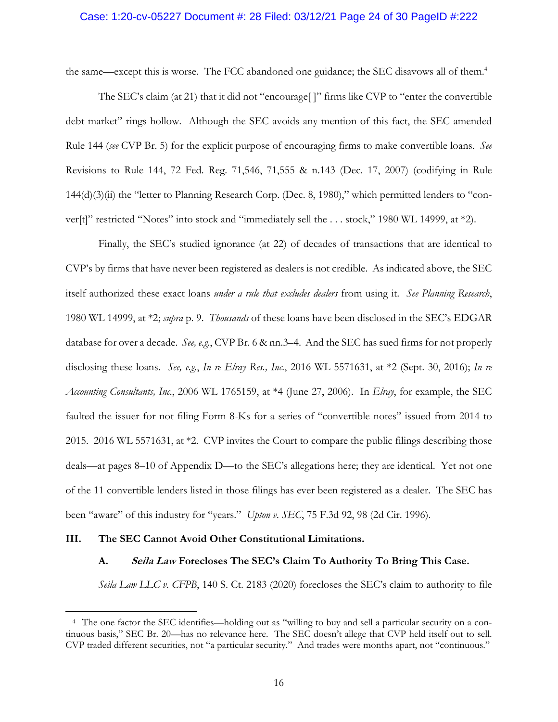## Case: 1:20-cv-05227 Document #: 28 Filed: 03/12/21 Page 24 of 30 PageID #:222

the same—except this is worse. The FCC abandoned one guidance; the SEC disavows all of them.<sup>4</sup>

The SEC's claim (at 21) that it did not "encourage[ ]" firms like CVP to "enter the convertible debt market" rings hollow. Although the SEC avoids any mention of this fact, the SEC amended Rule 144 (*see* CVP Br. 5) for the explicit purpose of encouraging firms to make convertible loans. *See* Revisions to Rule 144, 72 Fed. Reg. 71,546, 71,555 & n.143 (Dec. 17, 2007) (codifying in Rule 144(d)(3)(ii) the "letter to Planning Research Corp. (Dec. 8, 1980)," which permitted lenders to "conver[t]" restricted "Notes" into stock and "immediately sell the . . . stock," 1980 WL 14999, at \*2).

Finally, the SEC's studied ignorance (at 22) of decades of transactions that are identical to CVP's by firms that have never been registered as dealers is not credible. As indicated above, the SEC itself authorized these exact loans *under a rule that excludes dealers* from using it. *See Planning Research*, 1980 WL 14999, at \*2; *supra* p. 9. *Thousands* of these loans have been disclosed in the SEC's EDGAR database for over a decade. *See, e.g.*, CVP Br. 6 & nn.3–4. And the SEC has sued firms for not properly disclosing these loans. *See, e.g.*, *In re Elray Res., Inc.*, 2016 WL 5571631, at \*2 (Sept. 30, 2016); *In re Accounting Consultants, Inc.*, 2006 WL 1765159, at \*4 (June 27, 2006). In *Elray*, for example, the SEC faulted the issuer for not filing Form 8-Ks for a series of "convertible notes" issued from 2014 to 2015. 2016 WL 5571631, at \*2. CVP invites the Court to compare the public filings describing those deals—at pages 8–10 of Appendix D—to the SEC's allegations here; they are identical. Yet not one of the 11 convertible lenders listed in those filings has ever been registered as a dealer. The SEC has been "aware" of this industry for "years." *Upton v. SEC*, 75 F.3d 92, 98 (2d Cir. 1996).

#### **III. The SEC Cannot Avoid Other Constitutional Limitations.**

 $\overline{a}$ 

#### **A. Seila Law Forecloses The SEC's Claim To Authority To Bring This Case.**

*Seila Law LLC v. CFPB*, 140 S. Ct. 2183 (2020) forecloses the SEC's claim to authority to file

<sup>4</sup> The one factor the SEC identifies—holding out as "willing to buy and sell a particular security on a continuous basis," SEC Br. 20—has no relevance here. The SEC doesn't allege that CVP held itself out to sell. CVP traded different securities, not "a particular security." And trades were months apart, not "continuous."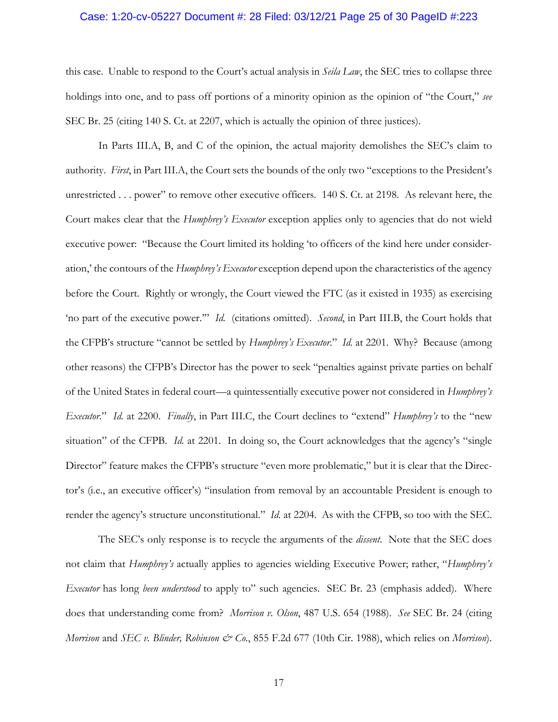## Case: 1:20-cv-05227 Document #: 28 Filed: 03/12/21 Page 25 of 30 PageID #:223

this case. Unable to respond to the Court's actual analysis in *Seila Law*, the SEC tries to collapse three holdings into one, and to pass off portions of a minority opinion as the opinion of "the Court," *see* SEC Br. 25 (citing 140 S. Ct. at 2207, which is actually the opinion of three justices).

In Parts III.A, B, and C of the opinion, the actual majority demolishes the SEC's claim to authority. *First*, in Part III.A, the Court sets the bounds of the only two "exceptions to the President's unrestricted . . . power" to remove other executive officers. 140 S. Ct. at 2198. As relevant here, the Court makes clear that the *Humphrey's Executor* exception applies only to agencies that do not wield executive power: "Because the Court limited its holding 'to officers of the kind here under consideration,' the contours of the *Humphrey's Executor* exception depend upon the characteristics of the agency before the Court. Rightly or wrongly, the Court viewed the FTC (as it existed in 1935) as exercising 'no part of the executive power.'" *Id.* (citations omitted). *Second*, in Part III.B, the Court holds that the CFPB's structure "cannot be settled by *Humphrey's Executor*." *Id.* at 2201. Why? Because (among other reasons) the CFPB's Director has the power to seek "penalties against private parties on behalf of the United States in federal court—a quintessentially executive power not considered in *Humphrey's Executor*." *Id.* at 2200. *Finally*, in Part III.C, the Court declines to "extend" *Humphrey's* to the "new situation" of the CFPB. *Id.* at 2201. In doing so, the Court acknowledges that the agency's "single Director" feature makes the CFPB's structure "even more problematic," but it is clear that the Director's (i.e., an executive officer's) "insulation from removal by an accountable President is enough to render the agency's structure unconstitutional." *Id.* at 2204. As with the CFPB, so too with the SEC.

The SEC's only response is to recycle the arguments of the *dissent*. Note that the SEC does not claim that *Humphrey's* actually applies to agencies wielding Executive Power; rather, "*Humphrey's Executor* has long *been understood* to apply to" such agencies. SEC Br. 23 (emphasis added). Where does that understanding come from? *Morrison v. Olson*, 487 U.S. 654 (1988). *See* SEC Br. 24 (citing *Morrison* and *SEC v. Blinder, Robinson & Co.*, 855 F.2d 677 (10th Cir. 1988), which relies on *Morrison*).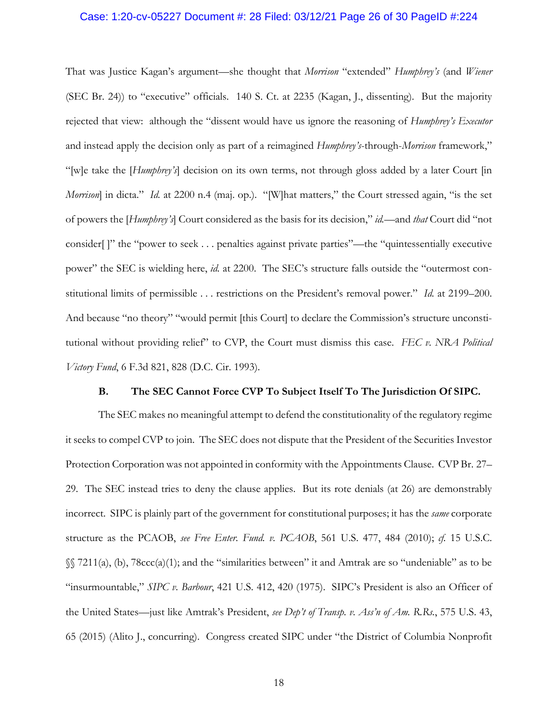## Case: 1:20-cv-05227 Document #: 28 Filed: 03/12/21 Page 26 of 30 PageID #:224

That was Justice Kagan's argument—she thought that *Morrison* "extended" *Humphrey's* (and *Wiener* (SEC Br. 24)) to "executive" officials. 140 S. Ct. at 2235 (Kagan, J., dissenting). But the majority rejected that view: although the "dissent would have us ignore the reasoning of *Humphrey's Executor* and instead apply the decision only as part of a reimagined *Humphrey's*-through-*Morrison* framework," "[w]e take the [*Humphrey's*] decision on its own terms, not through gloss added by a later Court [in *Morrison*] in dicta." *Id.* at 2200 n.4 (maj. op.). "[W]hat matters," the Court stressed again, "is the set of powers the [*Humphrey's*] Court considered as the basis for its decision," *id.*—and *that* Court did "not consider[ ]" the "power to seek . . . penalties against private parties"—the "quintessentially executive power" the SEC is wielding here, *id.* at 2200. The SEC's structure falls outside the "outermost constitutional limits of permissible . . . restrictions on the President's removal power." *Id.* at 2199–200. And because "no theory" "would permit [this Court] to declare the Commission's structure unconstitutional without providing relief" to CVP, the Court must dismiss this case. *FEC v. NRA Political Victory Fund*, 6 F.3d 821, 828 (D.C. Cir. 1993).

## **B. The SEC Cannot Force CVP To Subject Itself To The Jurisdiction Of SIPC.**

The SEC makes no meaningful attempt to defend the constitutionality of the regulatory regime it seeks to compel CVP to join. The SEC does not dispute that the President of the Securities Investor Protection Corporation was not appointed in conformity with the Appointments Clause. CVP Br. 27– 29. The SEC instead tries to deny the clause applies. But its rote denials (at 26) are demonstrably incorrect. SIPC is plainly part of the government for constitutional purposes; it has the *same* corporate structure as the PCAOB, *see Free Enter. Fund. v. PCAOB*, 561 U.S. 477, 484 (2010); *cf.* 15 U.S.C. §§ 7211(a), (b), 78ccc(a)(1); and the "similarities between" it and Amtrak are so "undeniable" as to be "insurmountable," *SIPC v. Barbour*, 421 U.S. 412, 420 (1975). SIPC's President is also an Officer of the United States—just like Amtrak's President, *see Dep't of Transp. v. Ass'n of Am. R.Rs.*, 575 U.S. 43, 65 (2015) (Alito J., concurring). Congress created SIPC under "the District of Columbia Nonprofit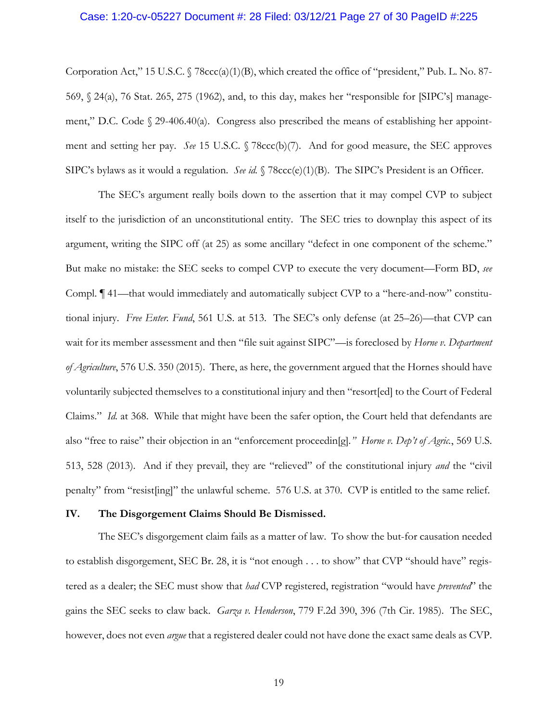## Case: 1:20-cv-05227 Document #: 28 Filed: 03/12/21 Page 27 of 30 PageID #:225

Corporation Act," 15 U.S.C.  $\sqrt{7}$  78ccc(a)(1)(B), which created the office of "president," Pub. L. No. 87-569, § 24(a), 76 Stat. 265, 275 (1962), and, to this day, makes her "responsible for [SIPC's] management," D.C. Code § 29-406.40(a). Congress also prescribed the means of establishing her appointment and setting her pay. *See* 15 U.S.C. § 78ccc(b)(7). And for good measure, the SEC approves SIPC's bylaws as it would a regulation. *See id.* § 78ccc(e)(1)(B). The SIPC's President is an Officer.

The SEC's argument really boils down to the assertion that it may compel CVP to subject itself to the jurisdiction of an unconstitutional entity. The SEC tries to downplay this aspect of its argument, writing the SIPC off (at 25) as some ancillary "defect in one component of the scheme." But make no mistake: the SEC seeks to compel CVP to execute the very document—Form BD, *see* Compl. ¶ 41—that would immediately and automatically subject CVP to a "here-and-now" constitutional injury. *Free Enter. Fund*, 561 U.S. at 513. The SEC's only defense (at 25–26)—that CVP can wait for its member assessment and then "file suit against SIPC"—is foreclosed by *Horne v. Department of Agriculture*, 576 U.S. 350 (2015). There, as here, the government argued that the Hornes should have voluntarily subjected themselves to a constitutional injury and then "resort[ed] to the Court of Federal Claims." *Id.* at 368. While that might have been the safer option, the Court held that defendants are also "free to raise" their objection in an "enforcement proceedin[g]*." Horne v. Dep't of Agric.*, 569 U.S. 513, 528 (2013). And if they prevail, they are "relieved" of the constitutional injury *and* the "civil penalty" from "resist[ing]" the unlawful scheme. 576 U.S. at 370. CVP is entitled to the same relief.

#### **IV. The Disgorgement Claims Should Be Dismissed.**

The SEC's disgorgement claim fails as a matter of law. To show the but-for causation needed to establish disgorgement, SEC Br. 28, it is "not enough . . . to show" that CVP "should have" registered as a dealer; the SEC must show that *had* CVP registered, registration "would have *prevented*" the gains the SEC seeks to claw back. *Garza v. Henderson*, 779 F.2d 390, 396 (7th Cir. 1985). The SEC, however, does not even *argue* that a registered dealer could not have done the exact same deals as CVP.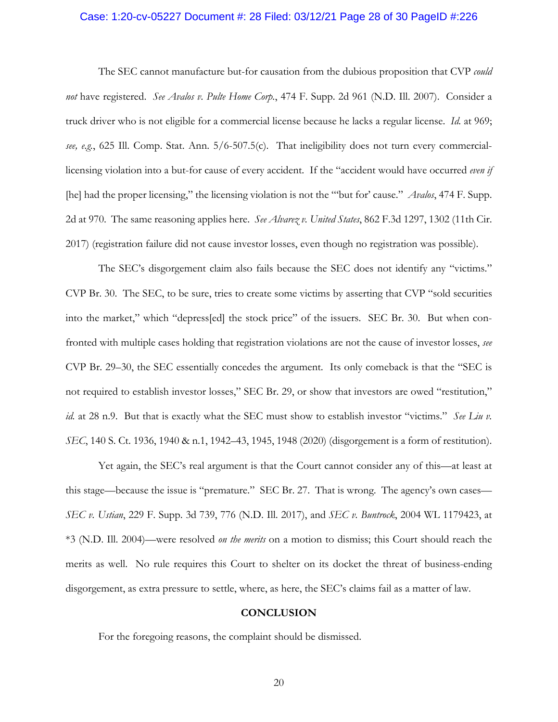## Case: 1:20-cv-05227 Document #: 28 Filed: 03/12/21 Page 28 of 30 PageID #:226

The SEC cannot manufacture but-for causation from the dubious proposition that CVP *could not* have registered. *See Avalos v. Pulte Home Corp.*, 474 F. Supp. 2d 961 (N.D. Ill. 2007). Consider a truck driver who is not eligible for a commercial license because he lacks a regular license. *Id.* at 969; *see, e.g.*, 625 Ill. Comp. Stat. Ann. 5/6-507.5(c). That ineligibility does not turn every commerciallicensing violation into a but-for cause of every accident. If the "accident would have occurred *even if* [he] had the proper licensing," the licensing violation is not the "'but for' cause." *Avalos*, 474 F. Supp. 2d at 970. The same reasoning applies here. *See Alvarez v. United States*, 862 F.3d 1297, 1302 (11th Cir. 2017) (registration failure did not cause investor losses, even though no registration was possible).

The SEC's disgorgement claim also fails because the SEC does not identify any "victims." CVP Br. 30. The SEC, to be sure, tries to create some victims by asserting that CVP "sold securities into the market," which "depress[ed] the stock price" of the issuers. SEC Br. 30. But when confronted with multiple cases holding that registration violations are not the cause of investor losses, *see* CVP Br. 29–30, the SEC essentially concedes the argument. Its only comeback is that the "SEC is not required to establish investor losses," SEC Br. 29, or show that investors are owed "restitution," *id.* at 28 n.9. But that is exactly what the SEC must show to establish investor "victims." See Liu v. *SEC*, 140 S. Ct. 1936, 1940 & n.1, 1942–43, 1945, 1948 (2020) (disgorgement is a form of restitution).

Yet again, the SEC's real argument is that the Court cannot consider any of this—at least at this stage—because the issue is "premature." SEC Br. 27. That is wrong. The agency's own cases— *SEC v. Ustian*, 229 F. Supp. 3d 739, 776 (N.D. Ill. 2017), and *SEC v. Buntrock*, 2004 WL 1179423, at \*3 (N.D. Ill. 2004)—were resolved *on the merits* on a motion to dismiss; this Court should reach the merits as well. No rule requires this Court to shelter on its docket the threat of business-ending disgorgement, as extra pressure to settle, where, as here, the SEC's claims fail as a matter of law.

### **CONCLUSION**

For the foregoing reasons, the complaint should be dismissed.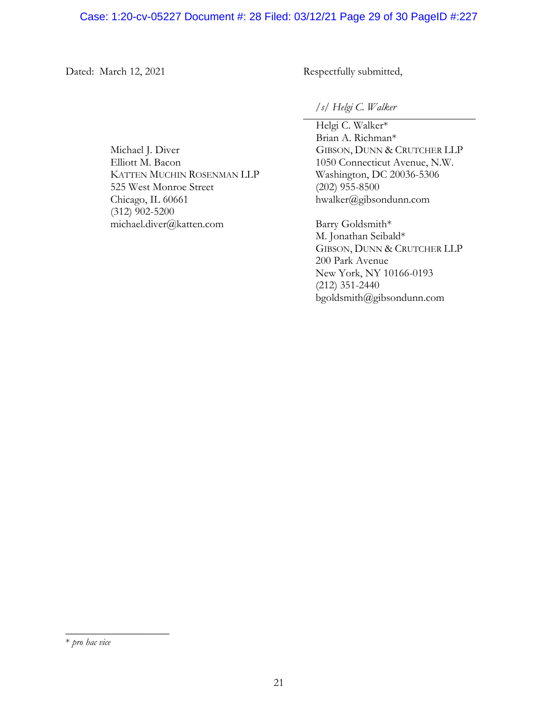## Case: 1:20-cv-05227 Document #: 28 Filed: 03/12/21 Page 29 of 30 PageID #:227

Dated: March 12, 2021 Respectfully submitted,

*/s/ Helgi C. Walker* 

Helgi C. Walker\* Brian A. Richman\* GIBSON, DUNN & CRUTCHER LLP 1050 Connecticut Avenue, N.W. Washington, DC 20036-5306 (202) 955-8500 hwalker@gibsondunn.com

Barry Goldsmith\* M. Jonathan Seibald\* GIBSON, DUNN & CRUTCHER LLP 200 Park Avenue New York, NY 10166-0193 (212) 351-2440 bgoldsmith@gibsondunn.com

Michael J. Diver Elliott M. Bacon KATTEN MUCHIN ROSENMAN LLP 525 West Monroe Street Chicago, IL 60661 (312) 902-5200 michael.diver@katten.com

\_\_\_\_\_\_\_\_\_\_\_\_\_\_\_\_\_\_\_

<sup>\*</sup> *pro hac vice*